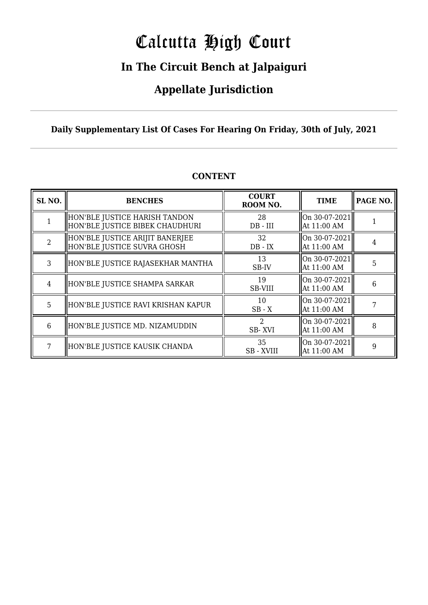# Calcutta High Court

### **In The Circuit Bench at Jalpaiguri**

### **Appellate Jurisdiction**

### **Daily Supplementary List Of Cases For Hearing On Friday, 30th of July, 2021**

| SL <sub>NO.</sub> | <b>BENCHES</b>                                                   | <b>COURT</b><br>ROOM NO. | <b>TIME</b>                                          | PAGE NO. |
|-------------------|------------------------------------------------------------------|--------------------------|------------------------------------------------------|----------|
|                   | HON'BLE JUSTICE HARISH TANDON<br>HON'BLE JUSTICE BIBEK CHAUDHURI | 28<br>$DB$ - $III$       | $\vert$ On 30-07-2021 $\vert$<br>$\vert$ At 11:00 AM |          |
| C                 | HON'BLE JUSTICE ARIJIT BANERJEE<br>HON'BLE JUSTICE SUVRA GHOSH   | 32<br>$DB - IX$          | $\vert$ On 30-07-2021 $\vert$<br>  At 11:00 AM       |          |
| 3                 | HON'BLE JUSTICE RAJASEKHAR MANTHA                                | 13<br>SB-IV              | On 30-07-2021 <br>  At 11:00 AM                      | 5        |
| 4                 | HON'BLE JUSTICE SHAMPA SARKAR                                    | 19<br><b>SB-VIII</b>     | On 30-07-2021 <br>  At 11:00 AM                      | 6        |
| 5                 | HON'BLE JUSTICE RAVI KRISHAN KAPUR                               | 10<br>$SB - X$           | On 30-07-2021<br>  At 11:00 AM                       |          |
| 6                 | HON'BLE JUSTICE MD. NIZAMUDDIN                                   | 2<br>SB-XVI              | On 30-07-2021<br>  At 11:00 AM                       | 8        |
| 7                 | HON'BLE JUSTICE KAUSIK CHANDA                                    | 35<br>SB - XVIII         | On 30-07-2021<br>$\vert$ At 11:00 AM                 | 9        |

### **CONTENT**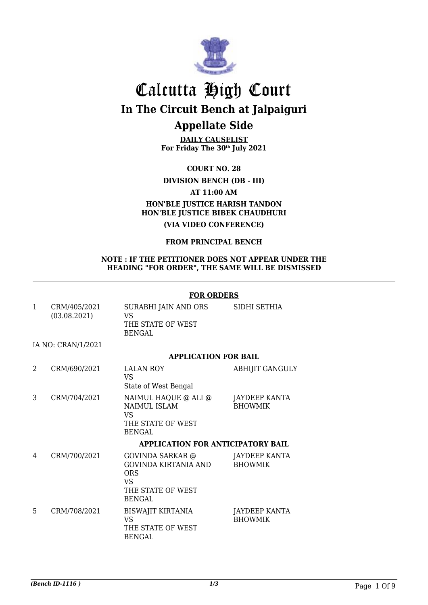

**DAILY CAUSELIST For Friday The 30th July 2021**

**COURT NO. 28**

### **DIVISION BENCH (DB - III)**

### **AT 11:00 AM**

### **HON'BLE JUSTICE HARISH TANDON HON'BLE JUSTICE BIBEK CHAUDHURI (VIA VIDEO CONFERENCE)**

### **FROM PRINCIPAL BENCH**

#### **NOTE : IF THE PETITIONER DOES NOT APPEAR UNDER THE HEADING "FOR ORDER", THE SAME WILL BE DISMISSED**

#### **FOR ORDERS**

| CRM/405/2021<br>(03.08.2021) | SURABHI JAIN AND ORS<br>VS<br>THE STATE OF WEST<br>BENGAL | SIDHI SETHIA |
|------------------------------|-----------------------------------------------------------|--------------|
| IA NO: CRAN/1/2021           |                                                           |              |

### **APPLICATION FOR BAIL**

| 2 | CRM/690/2021 | <b>LALAN ROY</b><br>VS<br>State of West Bengal                                   | <b>ABHIJIT GANGULY</b>          |
|---|--------------|----------------------------------------------------------------------------------|---------------------------------|
|   | CRM/704/2021 | NAIMUL HAQUE @ ALI @<br>NAIMUL ISLAM<br>VS<br>THE STATE OF WEST<br><b>BENGAL</b> | JAYDEEP KANTA<br><b>BHOWMIK</b> |
|   |              | <b>APPLICATION FOR ANTICIPATORY BAIL</b>                                         |                                 |

#### 4 CRM/700/2021 GOVINDA SARKAR @ GOVINDA KIRTANIA AND ORS VS THE STATE OF WEST BENGAL JAYDEEP KANTA BHOWMIK 5 CRM/708/2021 BISWAJIT KIRTANIA VS THE STATE OF WEST BENGAL JAYDEEP KANTA BHOWMIK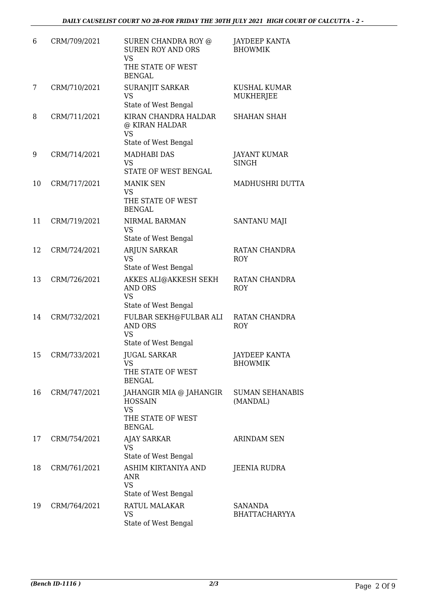| 6  | CRM/709/2021 | SUREN CHANDRA ROY @<br><b>SUREN ROY AND ORS</b><br><b>VS</b><br>THE STATE OF WEST<br><b>BENGAL</b> | JAYDEEP KANTA<br><b>BHOWMIK</b>        |
|----|--------------|----------------------------------------------------------------------------------------------------|----------------------------------------|
| 7  | CRM/710/2021 | SURANJIT SARKAR<br><b>VS</b><br>State of West Bengal                                               | <b>KUSHAL KUMAR</b><br>MUKHERJEE       |
| 8  | CRM/711/2021 | KIRAN CHANDRA HALDAR<br>@ KIRAN HALDAR<br>VS<br>State of West Bengal                               | <b>SHAHAN SHAH</b>                     |
| 9  | CRM/714/2021 | <b>MADHABI DAS</b><br>VS<br>STATE OF WEST BENGAL                                                   | <b>JAYANT KUMAR</b><br><b>SINGH</b>    |
| 10 | CRM/717/2021 | <b>MANIK SEN</b><br><b>VS</b><br>THE STATE OF WEST<br><b>BENGAL</b>                                | MADHUSHRI DUTTA                        |
| 11 | CRM/719/2021 | NIRMAL BARMAN<br><b>VS</b><br>State of West Bengal                                                 | <b>SANTANU MAJI</b>                    |
| 12 | CRM/724/2021 | <b>ARJUN SARKAR</b><br><b>VS</b><br>State of West Bengal                                           | RATAN CHANDRA<br><b>ROY</b>            |
| 13 | CRM/726/2021 | AKKES ALI@AKKESH SEKH<br><b>AND ORS</b><br>VS<br>State of West Bengal                              | RATAN CHANDRA<br><b>ROY</b>            |
| 14 | CRM/732/2021 | FULBAR SEKH@FULBAR ALI<br><b>AND ORS</b><br><b>VS</b><br>State of West Bengal                      | RATAN CHANDRA<br><b>ROY</b>            |
| 15 | CRM/733/2021 | <b>JUGAL SARKAR</b><br>VS<br>THE STATE OF WEST<br><b>BENGAL</b>                                    | <b>JAYDEEP KANTA</b><br><b>BHOWMIK</b> |
| 16 | CRM/747/2021 | JAHANGIR MIA @ JAHANGIR<br><b>HOSSAIN</b><br><b>VS</b><br>THE STATE OF WEST<br><b>BENGAL</b>       | <b>SUMAN SEHANABIS</b><br>(MANDAL)     |
| 17 | CRM/754/2021 | <b>AJAY SARKAR</b><br><b>VS</b><br>State of West Bengal                                            | <b>ARINDAM SEN</b>                     |
| 18 | CRM/761/2021 | ASHIM KIRTANIYA AND<br>ANR<br><b>VS</b><br>State of West Bengal                                    | JEENIA RUDRA                           |
| 19 | CRM/764/2021 | RATUL MALAKAR<br><b>VS</b><br>State of West Bengal                                                 | <b>SANANDA</b><br>BHATTACHARYYA        |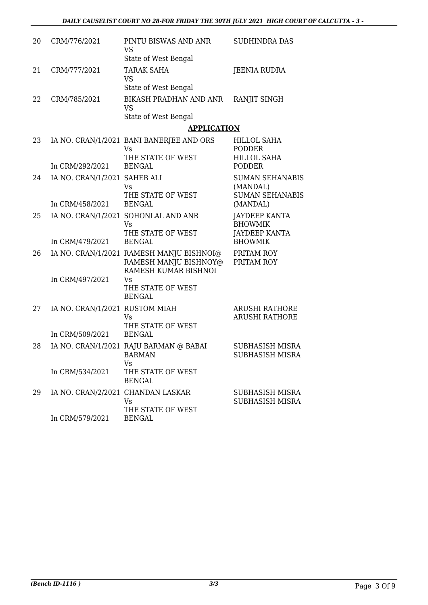| 20 | CRM/776/2021                      | PINTU BISWAS AND ANR<br><b>VS</b><br>State of West Bengal                                 | <b>SUDHINDRA DAS</b>                                         |
|----|-----------------------------------|-------------------------------------------------------------------------------------------|--------------------------------------------------------------|
| 21 | CRM/777/2021                      | <b>TARAK SAHA</b><br><b>VS</b><br>State of West Bengal                                    | <b>JEENIA RUDRA</b>                                          |
| 22 | CRM/785/2021                      | <b>BIKASH PRADHAN AND ANR</b><br><b>VS</b><br>State of West Bengal                        | RANJIT SINGH                                                 |
|    |                                   | <b>APPLICATION</b>                                                                        |                                                              |
| 23 |                                   | IA NO. CRAN/1/2021 BANI BANERJEE AND ORS<br>Vs<br>THE STATE OF WEST                       | <b>HILLOL SAHA</b><br><b>PODDER</b><br><b>HILLOL SAHA</b>    |
|    | In CRM/292/2021                   | <b>BENGAL</b>                                                                             | <b>PODDER</b>                                                |
| 24 | IA NO. CRAN/1/2021 SAHEB ALI      | <b>Vs</b><br>THE STATE OF WEST                                                            | <b>SUMAN SEHANABIS</b><br>(MANDAL)<br><b>SUMAN SEHANABIS</b> |
|    | In CRM/458/2021                   | <b>BENGAL</b>                                                                             | (MANDAL)                                                     |
| 25 |                                   | IA NO. CRAN/1/2021 SOHONLAL AND ANR<br>Vs<br>THE STATE OF WEST                            | <b>JAYDEEP KANTA</b><br><b>BHOWMIK</b>                       |
|    | In CRM/479/2021                   | <b>BENGAL</b>                                                                             | <b>JAYDEEP KANTA</b><br><b>BHOWMIK</b>                       |
| 26 |                                   | IA NO. CRAN/1/2021 RAMESH MANJU BISHNOI@<br>RAMESH MANJU BISHNOY@<br>RAMESH KUMAR BISHNOI | PRITAM ROY<br>PRITAM ROY                                     |
|    | In CRM/497/2021                   | Vs<br>THE STATE OF WEST<br><b>BENGAL</b>                                                  |                                                              |
| 27 | IA NO. CRAN/1/2021 RUSTOM MIAH    | Vs<br>THE STATE OF WEST                                                                   | <b>ARUSHI RATHORE</b><br><b>ARUSHI RATHORE</b>               |
|    | In CRM/509/2021                   | <b>BENGAL</b>                                                                             |                                                              |
| 28 |                                   | IA NO. CRAN/1/2021 RAJU BARMAN @ BABAI<br>BARMAN<br>Vs                                    | SUBHASISH MISRA<br>SUBHASISH MISRA                           |
|    | In CRM/534/2021                   | THE STATE OF WEST<br><b>BENGAL</b>                                                        |                                                              |
| 29 | IA NO. CRAN/2/2021 CHANDAN LASKAR | Vs<br>THE STATE OF WEST                                                                   | SUBHASISH MISRA<br>SUBHASISH MISRA                           |
|    | In CRM/579/2021                   | <b>BENGAL</b>                                                                             |                                                              |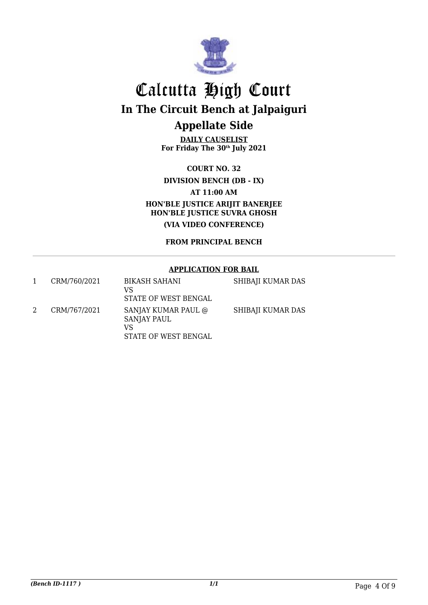

**DAILY CAUSELIST For Friday The 30th July 2021**

**COURT NO. 32**

### **DIVISION BENCH (DB - IX)**

**AT 11:00 AM**

**HON'BLE JUSTICE ARIJIT BANERJEE HON'BLE JUSTICE SUVRA GHOSH**

**(VIA VIDEO CONFERENCE)**

**FROM PRINCIPAL BENCH**

### **APPLICATION FOR BAIL**

| CRM/760/2021 | BIKASH SAHANI<br>VS<br>STATE OF WEST BENGAL                      | SHIBAJI KUMAR DAS |
|--------------|------------------------------------------------------------------|-------------------|
| CRM/767/2021 | SANJAY KUMAR PAUL @<br>SANJAY PAUL<br>VS<br>STATE OF WEST BENGAL | SHIBAJI KUMAR DAS |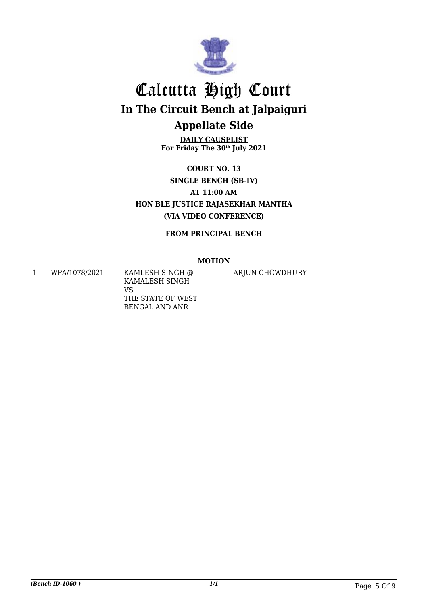

**DAILY CAUSELIST For Friday The 30th July 2021**

**COURT NO. 13 SINGLE BENCH (SB-IV) AT 11:00 AM HON'BLE JUSTICE RAJASEKHAR MANTHA (VIA VIDEO CONFERENCE)**

**FROM PRINCIPAL BENCH**

### **MOTION**

1 WPA/1078/2021 KAMLESH SINGH @ KAMALESH SINGH VS THE STATE OF WEST BENGAL AND ANR

ARJUN CHOWDHURY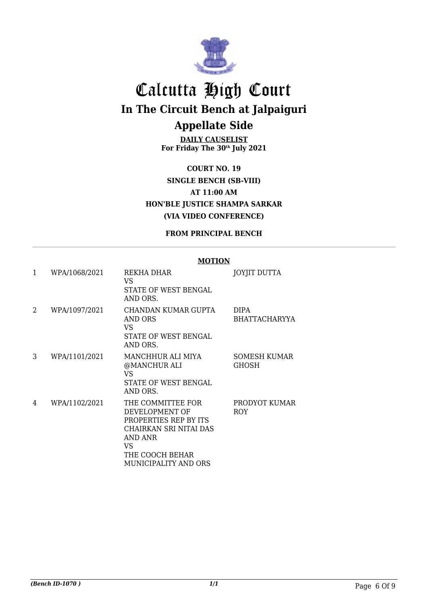

**DAILY CAUSELIST For Friday The 30th July 2021**

**COURT NO. 19 SINGLE BENCH (SB-VIII) AT 11:00 AM HON'BLE JUSTICE SHAMPA SARKAR (VIA VIDEO CONFERENCE)**

### **FROM PRINCIPAL BENCH**

#### **MOTION** 1 WPA/1068/2021 REKHA DHAR VS STATE OF WEST BENGAL AND ORS. JOYJIT DUTTA 2 WPA/1097/2021 CHANDAN KUMAR GUPTA AND ORS VS STATE OF WEST BENGAL AND ORS. DIPA BHATTACHARYYA 3 WPA/1101/2021 MANCHHUR ALI MIYA @MANCHUR ALI VS STATE OF WEST BENGAL AND ORS. SOMESH KUMAR GHOSH 4 WPA/1102/2021 THE COMMITTEE FOR DEVELOPMENT OF PROPERTIES REP BY ITS CHAIRKAN SRI NITAI DAS AND ANR VS THE COOCH BEHAR MUNICIPALITY AND ORS PRODYOT KUMAR ROY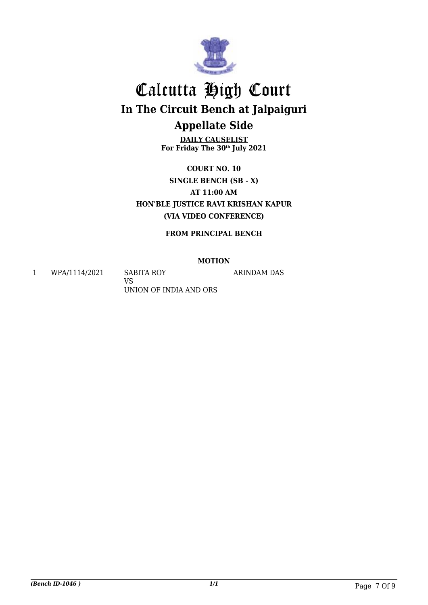

**DAILY CAUSELIST For Friday The 30th July 2021**

**COURT NO. 10 SINGLE BENCH (SB - X) AT 11:00 AM HON'BLE JUSTICE RAVI KRISHAN KAPUR (VIA VIDEO CONFERENCE)**

**FROM PRINCIPAL BENCH**

### **MOTION**

ARINDAM DAS

1 WPA/1114/2021 SABITA ROY

VS UNION OF INDIA AND ORS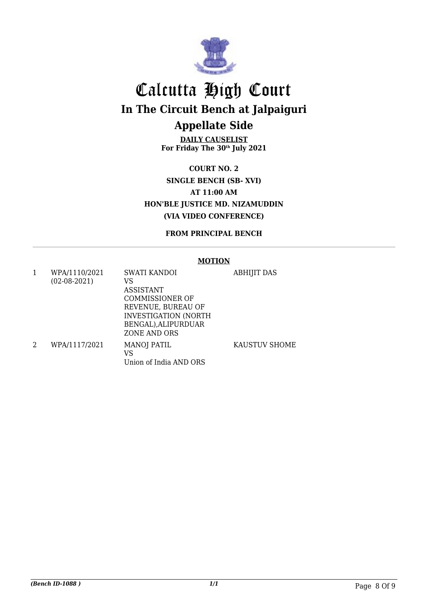

**DAILY CAUSELIST For Friday The 30th July 2021**

**COURT NO. 2 SINGLE BENCH (SB- XVI) AT 11:00 AM HON'BLE JUSTICE MD. NIZAMUDDIN (VIA VIDEO CONFERENCE)**

**FROM PRINCIPAL BENCH**

### **MOTION**

1 WPA/1110/2021 (02-08-2021) SWATI KANDOI VS ASSISTANT COMMISSIONER OF REVENUE, BUREAU OF INVESTIGATION (NORTH BENGAL),ALIPURDUAR ZONE AND ORS ABHIJIT DAS 2 WPA/1117/2021 MANOJ PATIL VS Union of India AND ORS KAUSTUV SHOME